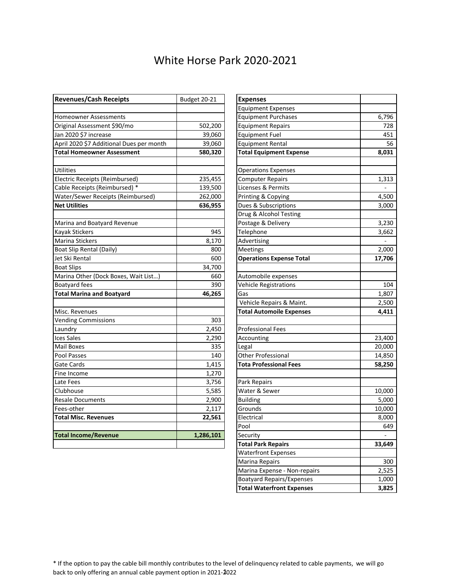## White Horse Park 2020-2021

| <b>Revenues/Cash Receipts</b>            | Budget 20-21 | <b>Expenses</b>                 |        |
|------------------------------------------|--------------|---------------------------------|--------|
|                                          |              | <b>Equipment Expenses</b>       |        |
| <b>Homeowner Assessments</b>             |              | <b>Equipment Purchases</b>      | 6,796  |
| Original Assessment \$90/mo              | 502,200      | <b>Equipment Repairs</b>        | 728    |
| Jan 2020 \$7 increase                    | 39,060       | <b>Equipment Fuel</b>           | 451    |
| April 2020 \$7 Additional Dues per month | 39,060       | <b>Equipment Rental</b>         | 56     |
| <b>Total Homeowner Assessment</b>        | 580,320      | <b>Total Equipment Expense</b>  | 8,031  |
|                                          |              |                                 |        |
| Utilities                                |              | <b>Operations Expenses</b>      |        |
| Electric Receipts (Reimbursed)           | 235,455      | <b>Computer Repairs</b>         | 1,313  |
| Cable Receipts (Reimbursed) *            | 139,500      | Licenses & Permits              |        |
| Water/Sewer Receipts (Reimbursed)        | 262,000      | Printing & Copying              | 4,500  |
| <b>Net Utilities</b>                     | 636,955      | Dues & Subscriptions            | 3,000  |
|                                          |              | Drug & Alcohol Testing          |        |
| Marina and Boatyard Revenue              |              | Postage & Delivery              | 3,230  |
| <b>Kayak Stickers</b>                    | 945          | Telephone                       | 3,662  |
| Marina Stickers                          | 8,170        | Advertising                     |        |
| Boat Slip Rental (Daily)                 | 800          | <b>Meetings</b>                 | 2,000  |
| Jet Ski Rental                           | 600          | <b>Operations Expense Total</b> | 17,706 |
| <b>Boat Slips</b>                        | 34,700       |                                 |        |
| Marina Other (Dock Boxes, Wait List)     | 660          | Automobile expenses             |        |
| <b>Boatyard fees</b>                     | 390          | <b>Vehicle Registrations</b>    | 104    |
| <b>Total Marina and Boatyard</b>         | 46,265       | Gas                             | 1,807  |
|                                          |              | Vehicle Repairs & Maint.        | 2,500  |
| Misc. Revenues                           |              | <b>Total Automoile Expenses</b> | 4,411  |
| <b>Vending Commissions</b>               | 303          |                                 |        |
| Laundry                                  | 2,450        | <b>Professional Fees</b>        |        |
| <b>Ices Sales</b>                        | 2,290        | Accounting                      | 23,400 |
| <b>Mail Boxes</b>                        | 335          | Legal                           | 20,000 |
| Pool Passes                              | 140          | Other Professional              | 14,850 |
| Gate Cards                               | 1,415        | <b>Tota Professional Fees</b>   | 58,250 |
| Fine Income                              | 1,270        |                                 |        |
| Late Fees                                | 3,756        | Park Repairs                    |        |
| Clubhouse                                | 5,585        | Water & Sewer                   | 10,000 |
| <b>Resale Documents</b>                  | 2,900        | <b>Building</b>                 | 5,000  |
| Fees-other                               | 2,117        | Grounds                         | 10,000 |
| <b>Total Misc. Revenues</b>              | 22,561       | Electrical                      | 8,000  |
|                                          |              | Pool                            | 649    |
| <b>Total Income/Revenue</b>              | 1,286,101    | Security                        |        |
|                                          |              | <b>Total Park Repairs</b>       | 33,649 |

| <b>Expenses</b>                  |        |
|----------------------------------|--------|
| <b>Equipment Expenses</b>        |        |
| <b>Equipment Purchases</b>       | 6,796  |
| <b>Equipment Repairs</b>         | 728    |
| <b>Equipment Fuel</b>            | 451    |
| <b>Equipment Rental</b>          | 56     |
| <b>Total Equipment Expense</b>   | 8,031  |
|                                  |        |
| <b>Operations Expenses</b>       |        |
| <b>Computer Repairs</b>          | 1,313  |
| Licenses & Permits               |        |
| Printing & Copying               | 4,500  |
| Dues & Subscriptions             | 3,000  |
| Drug & Alcohol Testing           |        |
| Postage & Delivery               | 3,230  |
| Telephone                        | 3,662  |
| Advertising                      |        |
| Meetings                         | 2,000  |
| <b>Operations Expense Total</b>  | 17,706 |
|                                  |        |
| Automobile expenses              |        |
| Vehicle Registrations            | 104    |
| Gas                              | 1,807  |
| Vehicle Repairs & Maint.         | 2,500  |
| <b>Total Automoile Expenses</b>  | 4,411  |
|                                  |        |
| <b>Professional Fees</b>         |        |
| Accounting                       | 23,400 |
| Legal                            | 20,000 |
| Other Professional               | 14,850 |
| <b>Tota Professional Fees</b>    | 58,250 |
|                                  |        |
| Park Repairs                     |        |
| Water & Sewer                    | 10,000 |
| <b>Building</b>                  | 5,000  |
| Grounds                          | 10,000 |
| Electrical                       | 8,000  |
| Pool                             | 649    |
| Security                         |        |
| <b>Total Park Repairs</b>        | 33,649 |
| <b>Waterfront Expenses</b>       |        |
| Marina Repairs                   | 300    |
| Marina Expense - Non-repairs     | 2,525  |
| <b>Boatyard Repairs/Expenses</b> | 1,000  |
| <b>Total Waterfront Expenses</b> | 3,825  |

\* If the option to pay the cable bill monthly contributes to the level of delinquency related to cable payments, we will go back to only offering an annual cable payment option in 2021-2022